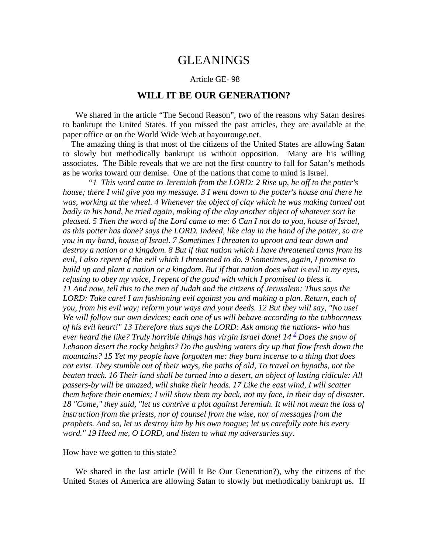## GLEANINGS

## Article GE- 98

## **WILL IT BE OUR GENERATION?**

We shared in the article "The Second Reason", two of the reasons why Satan desires to bankrupt the United States. If you missed the past articles, they are available at the paper office or on the World Wide Web at bayourouge.net.

 The amazing thing is that most of the citizens of the United States are allowing Satan to slowly but methodically bankrupt us without opposition. Many are his willing associates. The Bible reveals that we are not the first country to fall for Satan's methods as he works toward our demise. One of the nations that come to mind is Israel.

*"1 This word came to Jeremiah from the LORD: 2 Rise up, be off to the potter's house; there I will give you my message. 3 I went down to the potter's house and there he was, working at the wheel. 4 Whenever the object of clay which he was making turned out badly in his hand, he tried again, making of the clay another object of whatever sort he pleased. 5 Then the word of the Lord came to me: 6 Can I not do to you, house of Israel, as this potter has done? says the LORD. Indeed, like clay in the hand of the potter, so are you in my hand, house of Israel. 7 Sometimes I threaten to uproot and tear down and destroy a nation or a kingdom. 8 But if that nation which I have threatened turns from its evil, I also repent of the evil which I threatened to do. 9 Sometimes, again, I promise to build up and plant a nation or a kingdom. But if that nation does what is evil in my eyes, refusing to obey my voice, I repent of the good with which I promised to bless it. 11 And now, tell this to the men of Judah and the citizens of Jerusalem: Thus says the*  LORD: Take care! I am fashioning evil against you and making a plan. Return, each of *you, from his evil way; reform your ways and your deeds. 12 But they will say, "No use! We will follow our own devices; each one of us will behave according to the tubbornness of his evil heart!" 13 Therefore thus says the LORD: Ask among the nations- who has*  ever heard the like? Truly horrible things has virgin Israel done! 14<sup>2</sup> Does the snow of *Lebanon desert the rocky heights? Do the gushing waters dry up that flow fresh down the mountains? 15 Yet my people have forgotten me: they burn incense to a thing that does not exist. They stumble out of their ways, the paths of old, To travel on bypaths, not the beaten track. 16 Their land shall be turned into a desert, an object of lasting ridicule: All passers-by will be amazed, will shake their heads. 17 Like the east wind, I will scatter them before their enemies; I will show them my back, not my face, in their day of disaster. 18 "Come," they said, "let us contrive a plot against Jeremiah. It will not mean the loss of instruction from the priests, nor of counsel from the wise, nor of messages from the prophets. And so, let us destroy him by his own tongue; let us carefully note his every word." 19 Heed me, O LORD, and listen to what my adversaries say.* 

## How have we gotten to this state?

We shared in the last article (Will It Be Our Generation?), why the citizens of the United States of America are allowing Satan to slowly but methodically bankrupt us. If